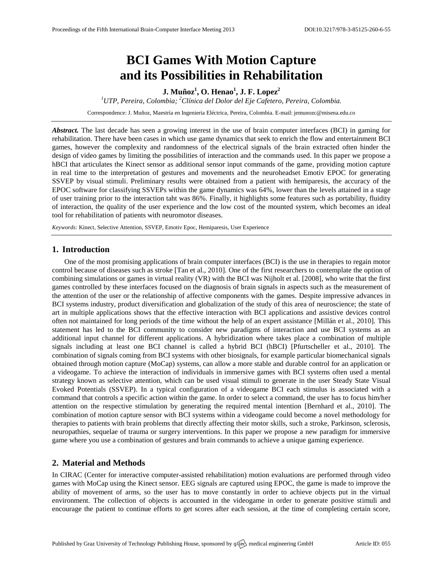# **BCI Games With Motion Capture and its Possibilities in Rehabilitation**

# **J. Muñoz<sup>1</sup> , O. Henao<sup>1</sup> , J. F. Lopez<sup>2</sup>**

*<sup>1</sup>UTP, Pereira, Colombia; <sup>2</sup>Clínica del Dolor del Eje Cafetero, Pereira, Colombia.*

Correspondence: J. Muñoz, Maestría en Ingenieria Eléctrica, Pereira, Colombia. E-mail[: jemunozc@misena.edu.co](mailto:jemunozc@misena.edu.co)

*Abstract.* The last decade has seen a growing interest in the use of brain computer interfaces (BCI) in gaming for rehabilitation. There have been cases in which use game dynamics that seek to enrich the flow and entertainment BCI games, however the complexity and randomness of the electrical signals of the brain extracted often hinder the design of video games by limiting the possibilities of interaction and the commands used. In this paper we propose a hBCI that articulates the Kinect sensor as additional sensor input commands of the game, providing motion capture in real time to the interpretation of gestures and movements and the neuroheadset Emotiv EPOC for generating SSVEP by visual stimuli. Preliminary results were obtained from a patient with hemiparesis, the accuracy of the EPOC software for classifying SSVEPs within the game dynamics was 64%, lower than the levels attained in a stage of user training prior to the interaction taht was 86%. Finally, it highlights some features such as portability, fluidity of interaction, the quality of the user experience and the low cost of the mounted system, which becomes an ideal tool for rehabilitation of patients with neuromotor diseases.

*Keywords:* Kinect, Selective Attention, SSVEP, Emotiv Epoc, Hemiparesis, User Experience

## **1. Introduction**

One of the most promising applications of brain computer interfaces (BCI) is the use in therapies to regain motor control because of diseases such as stroke [Tan et al., 2010]. One of the first researchers to contemplate the option of combining simulations or games in virtual reality (VR) with the BCI was Nijholt et al. [2008], who write that the first games controlled by these interfaces focused on the diagnosis of brain signals in aspects such as the measurement of the attention of the user or the relationship of affective components with the games. Despite impressive advances in BCI systems industry, product diversification and globalization of the study of this area of neuroscience; the state of art in multiple applications shows that the effective interaction with BCI applications and assistive devices control often not maintained for long periods of the time without the help of an expert assistance [Millán et al., 2010]. This statement has led to the BCI community to consider new paradigms of interaction and use BCI systems as an additional input channel for different applications. A hybridization where takes place a combination of multiple signals including at least one BCI channel is called a hybrid BCI (hBCI) [Pfurtscheller et al., 2010]. The combination of signals coming from BCI systems with other biosignals, for example particular biomechanical signals obtained through motion capture (MoCap) systems, can allow a more stable and durable control for an application or a videogame. To achieve the interaction of individuals in immersive games with BCI systems often used a mental strategy known as selective attention, which can be used visual stimuli to generate in the user Steady State Visual Evoked Potentials (SSVEP). In a typical configuration of a videogame BCI each stimulus is associated with a command that controls a specific action within the game. In order to select a command, the user has to focus him/her attention on the respective stimulation by generating the required mental intention [Bernhard et al., 2010]. The combination of motion capture sensor with BCI systems within a videogame could become a novel methodology for therapies to patients with brain problems that directly affecting their motor skills, such a stroke, Parkinson, sclerosis, neuropathies, sequelae of trauma or surgery interventions. In this paper we propose a new paradigm for immersive game where you use a combination of gestures and brain commands to achieve a unique gaming experience.

## **2. Material and Methods**

In CIRAC (Center for interactive computer-assisted rehabilitation) motion evaluations are performed through video games with MoCap using the Kinect sensor. EEG signals are captured using EPOC, the game is made to improve the ability of movement of arms, so the user has to move constantly in order to achieve objects put in the virtual environment. The collection of objects is accounted in the videogame in order to generate positive stimuli and encourage the patient to continue efforts to get scores after each session, at the time of completing certain score,